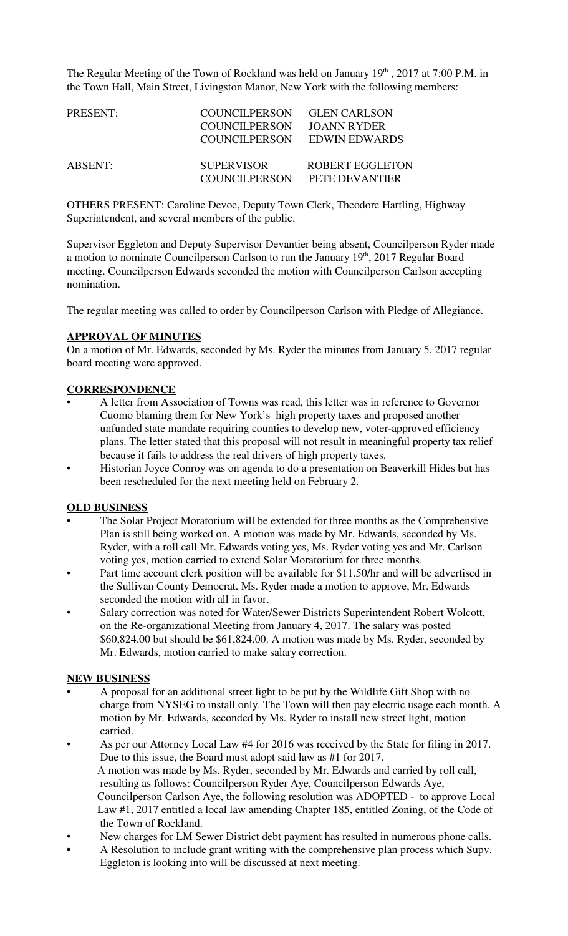The Regular Meeting of the Town of Rockland was held on January  $19<sup>th</sup>$ , 2017 at 7:00 P.M. in the Town Hall, Main Street, Livingston Manor, New York with the following members:

| PRESENT: | COUNCILPERSON<br><b>COUNCILPERSON</b><br>COUNCILPERSON | <b>GLEN CARLSON</b><br>JOANN RYDER<br>EDWIN EDWARDS |
|----------|--------------------------------------------------------|-----------------------------------------------------|
| ABSENT:  | <b>SUPERVISOR</b><br>COUNCIL PERSON                    | <b>ROBERT EGGLETON</b><br>PETE DEVANTIER            |

OTHERS PRESENT: Caroline Devoe, Deputy Town Clerk, Theodore Hartling, Highway Superintendent, and several members of the public.

Supervisor Eggleton and Deputy Supervisor Devantier being absent, Councilperson Ryder made a motion to nominate Councilperson Carlson to run the January  $19<sup>th</sup>$ , 2017 Regular Board meeting. Councilperson Edwards seconded the motion with Councilperson Carlson accepting nomination.

The regular meeting was called to order by Councilperson Carlson with Pledge of Allegiance.

### **APPROVAL OF MINUTES**

On a motion of Mr. Edwards, seconded by Ms. Ryder the minutes from January 5, 2017 regular board meeting were approved.

### **CORRESPONDENCE**

- A letter from Association of Towns was read, this letter was in reference to Governor Cuomo blaming them for New York's high property taxes and proposed another unfunded state mandate requiring counties to develop new, voter-approved efficiency plans. The letter stated that this proposal will not result in meaningful property tax relief because it fails to address the real drivers of high property taxes.
- Historian Joyce Conroy was on agenda to do a presentation on Beaverkill Hides but has been rescheduled for the next meeting held on February 2.

#### **OLD BUSINESS**

- The Solar Project Moratorium will be extended for three months as the Comprehensive Plan is still being worked on. A motion was made by Mr. Edwards, seconded by Ms. Ryder, with a roll call Mr. Edwards voting yes, Ms. Ryder voting yes and Mr. Carlson voting yes, motion carried to extend Solar Moratorium for three months.
- Part time account clerk position will be available for \$11.50/hr and will be advertised in the Sullivan County Democrat. Ms. Ryder made a motion to approve, Mr. Edwards seconded the motion with all in favor.
- Salary correction was noted for Water/Sewer Districts Superintendent Robert Wolcott, on the Re-organizational Meeting from January 4, 2017. The salary was posted \$60,824.00 but should be \$61,824.00. A motion was made by Ms. Ryder, seconded by Mr. Edwards, motion carried to make salary correction.

#### **NEW BUSINESS**

- A proposal for an additional street light to be put by the Wildlife Gift Shop with no charge from NYSEG to install only. The Town will then pay electric usage each month. A motion by Mr. Edwards, seconded by Ms. Ryder to install new street light, motion carried.
- As per our Attorney Local Law #4 for 2016 was received by the State for filing in 2017. Due to this issue, the Board must adopt said law as #1 for 2017. A motion was made by Ms. Ryder, seconded by Mr. Edwards and carried by roll call, resulting as follows: Councilperson Ryder Aye, Councilperson Edwards Aye, Councilperson Carlson Aye, the following resolution was ADOPTED - to approve Local Law #1, 2017 entitled a local law amending Chapter 185, entitled Zoning, of the Code of the Town of Rockland.
- New charges for LM Sewer District debt payment has resulted in numerous phone calls.
- A Resolution to include grant writing with the comprehensive plan process which Supv. Eggleton is looking into will be discussed at next meeting.